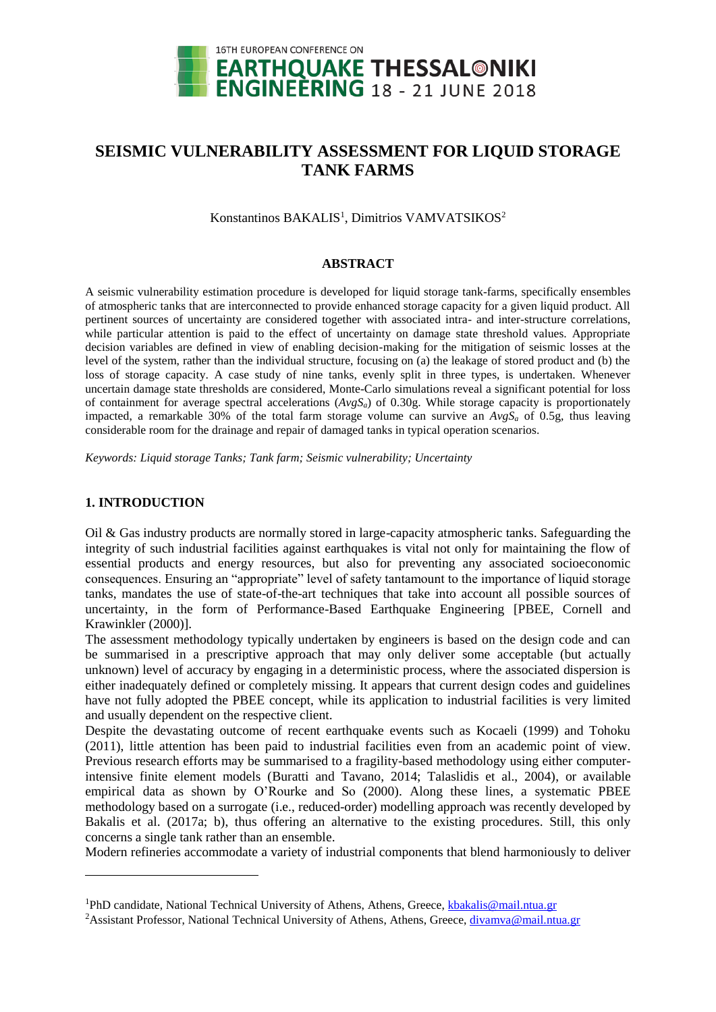

# **SEISMIC VULNERABILITY ASSESSMENT FOR LIQUID STORAGE TANK FARMS**

Konstantinos BAKALIS<sup>1</sup>, Dimitrios VAMVATSIKOS<sup>2</sup>

### **ABSTRACT**

A seismic vulnerability estimation procedure is developed for liquid storage tank-farms, specifically ensembles of atmospheric tanks that are interconnected to provide enhanced storage capacity for a given liquid product. All pertinent sources of uncertainty are considered together with associated intra- and inter-structure correlations, while particular attention is paid to the effect of uncertainty on damage state threshold values. Appropriate decision variables are defined in view of enabling decision-making for the mitigation of seismic losses at the level of the system, rather than the individual structure, focusing on (a) the leakage of stored product and (b) the loss of storage capacity. A case study of nine tanks, evenly split in three types, is undertaken. Whenever uncertain damage state thresholds are considered, Monte-Carlo simulations reveal a significant potential for loss of containment for average spectral accelerations  $(AvgS<sub>a</sub>)$  of 0.30g. While storage capacity is proportionately impacted, a remarkable 30% of the total farm storage volume can survive an  $AvgS<sub>a</sub>$  of 0.5g, thus leaving considerable room for the drainage and repair of damaged tanks in typical operation scenarios.

*Keywords: Liquid storage Tanks; Tank farm; Seismic vulnerability; Uncertainty*

## **1. INTRODUCTION**

 $\overline{a}$ 

Oil & Gas industry products are normally stored in large-capacity atmospheric tanks. Safeguarding the integrity of such industrial facilities against earthquakes is vital not only for maintaining the flow of essential products and energy resources, but also for preventing any associated socioeconomic consequences. Ensuring an "appropriate" level of safety tantamount to the importance of liquid storage tanks, mandates the use of state-of-the-art techniques that take into account all possible sources of uncertainty, in the form of Performance-Based Earthquake Engineering [PBEE, Cornell and Krawinkler (2000)].

The assessment methodology typically undertaken by engineers is based on the design code and can be summarised in a prescriptive approach that may only deliver some acceptable (but actually unknown) level of accuracy by engaging in a deterministic process, where the associated dispersion is either inadequately defined or completely missing. It appears that current design codes and guidelines have not fully adopted the PBEE concept, while its application to industrial facilities is very limited and usually dependent on the respective client.

Despite the devastating outcome of recent earthquake events such as Kocaeli (1999) and Tohoku (2011), little attention has been paid to industrial facilities even from an academic point of view. Previous research efforts may be summarised to a fragility-based methodology using either computerintensive finite element models (Buratti and Tavano, 2014; Talaslidis et al., 2004), or available empirical data as shown by O'Rourke and So (2000). Along these lines, a systematic PBEE methodology based on a surrogate (i.e., reduced-order) modelling approach was recently developed by Bakalis et al. (2017a; b), thus offering an alternative to the existing procedures. Still, this only concerns a single tank rather than an ensemble.

Modern refineries accommodate a variety of industrial components that blend harmoniously to deliver

<sup>&</sup>lt;sup>1</sup>PhD candidate, National Technical University of Athens, Athens, Greece, [kbakalis@mail.ntua.gr](mailto:kbakalis@mail.ntua.gr)

<sup>&</sup>lt;sup>2</sup>Assistant Professor, National Technical University of Athens, Athens, Greece[, divamva@mail.ntua.gr](mailto:divamva@mail.ntua.gr)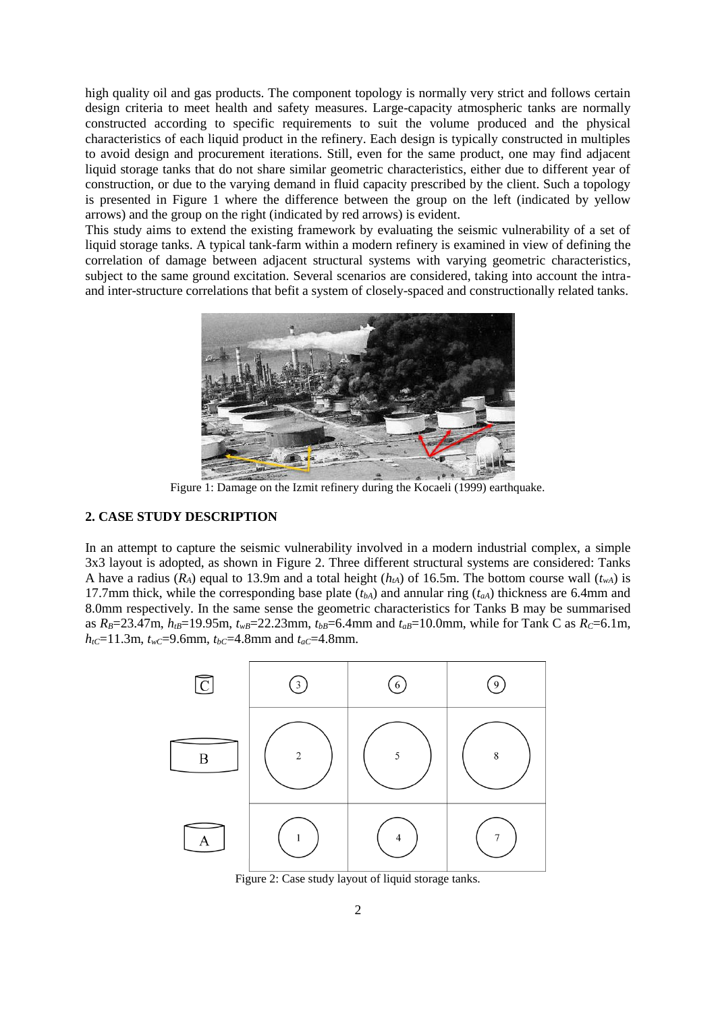high quality oil and gas products. The component topology is normally very strict and follows certain design criteria to meet health and safety measures. Large-capacity atmospheric tanks are normally constructed according to specific requirements to suit the volume produced and the physical characteristics of each liquid product in the refinery. Each design is typically constructed in multiples to avoid design and procurement iterations. Still, even for the same product, one may find adjacent liquid storage tanks that do not share similar geometric characteristics, either due to different year of construction, or due to the varying demand in fluid capacity prescribed by the client. Such a topology is presented in [Figure 1](#page-1-0) where the difference between the group on the left (indicated by yellow arrows) and the group on the right (indicated by red arrows) is evident.

This study aims to extend the existing framework by evaluating the seismic vulnerability of a set of liquid storage tanks. A typical tank-farm within a modern refinery is examined in view of defining the correlation of damage between adjacent structural systems with varying geometric characteristics, subject to the same ground excitation. Several scenarios are considered, taking into account the intraand inter-structure correlations that befit a system of closely-spaced and constructionally related tanks.



Figure 1: Damage on the Izmit refinery during the Kocaeli (1999) earthquake.

## <span id="page-1-0"></span>**2. CASE STUDY DESCRIPTION**

In an attempt to capture the seismic vulnerability involved in a modern industrial complex, a simple 3x3 layout is adopted, as shown in [Figure 2.](#page-1-1) Three different structural systems are considered: Tanks A have a radius  $(R_A)$  equal to 13.9m and a total height  $(h<sub>tA</sub>)$  of 16.5m. The bottom course wall  $(t<sub>wA</sub>)$  is 17.7mm thick, while the corresponding base plate  $(t_{bA})$  and annular ring  $(t_{aA})$  thickness are 6.4mm and 8.0mm respectively. In the same sense the geometric characteristics for Tanks B may be summarised as  $R_B = 23.47$ m,  $h_{tB} = 19.95$ m,  $t_{wB} = 22.23$ mm,  $t_{bB} = 6.4$ mm and  $t_{aB} = 10.0$ mm, while for Tank C as  $R_C = 6.1$ m, *h*<sub>tC</sub>=11.3m,  $t$ <sub>*wC*</sub>=9.6mm,  $t$ <sub>*bC*</sub>=4.8mm and  $t$ <sub>*aC*</sub>=4.8mm.



<span id="page-1-1"></span>Figure 2: Case study layout of liquid storage tanks.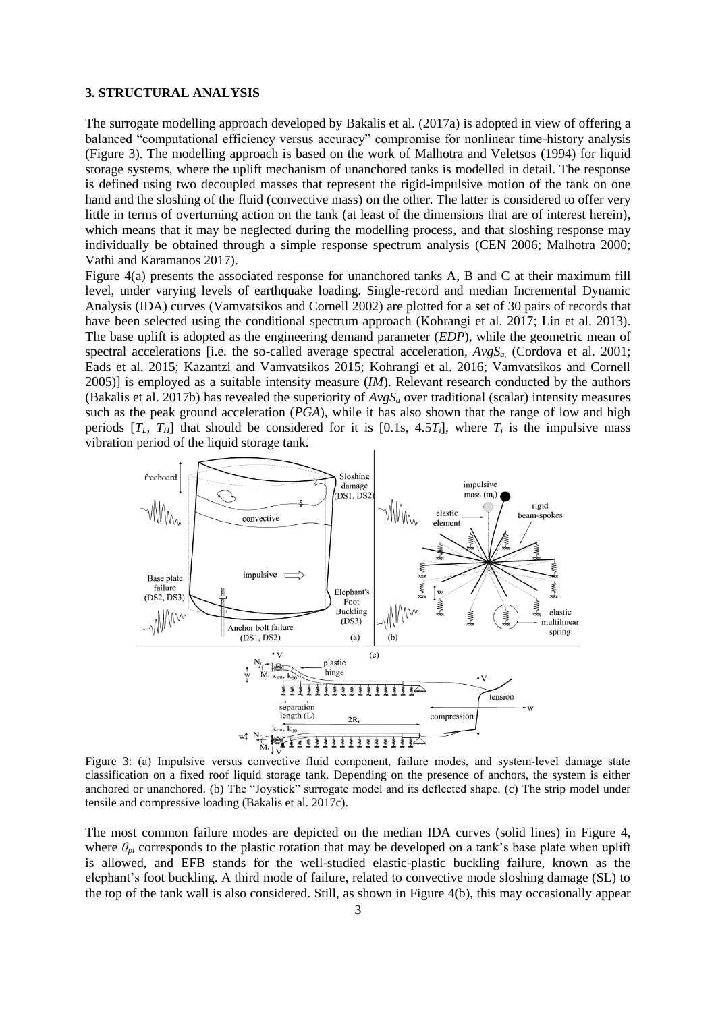#### **3. STRUCTURAL ANALYSIS**

The surrogate modelling approach developed by Bakalis et al. (2017a) is adopted in view of offering a balanced "computational efficiency versus accuracy" compromise for nonlinear time-history analysis [\(Figure 3\)](#page-2-0). The modelling approach is based on the work of Malhotra and Veletsos (1994) for liquid storage systems, where the uplift mechanism of unanchored tanks is modelled in detail. The response is defined using two decoupled masses that represent the rigid-impulsive motion of the tank on one hand and the sloshing of the fluid (convective mass) on the other. The latter is considered to offer very little in terms of overturning action on the tank (at least of the dimensions that are of interest herein), which means that it may be neglected during the modelling process, and that sloshing response may individually be obtained through a simple response spectrum analysis (CEN 2006; Malhotra 2000; Vathi and Karamanos 2017).

[Figure 4\(](#page-3-0)a) presents the associated response for unanchored tanks A, B and C at their maximum fill level, under varying levels of earthquake loading. Single-record and median Incremental Dynamic Analysis (IDA) curves (Vamvatsikos and Cornell 2002) are plotted for a set of 30 pairs of records that have been selected using the conditional spectrum approach (Kohrangi et al. 2017; Lin et al. 2013). The base uplift is adopted as the engineering demand parameter (*EDP*), while the geometric mean of spectral accelerations [i.e. the so-called average spectral acceleration,  $AvgS<sub>a</sub>$  (Cordova et al. 2001; Eads et al. 2015; Kazantzi and Vamvatsikos 2015; Kohrangi et al. 2016; Vamvatsikos and Cornell 2005)] is employed as a suitable intensity measure (*IM*). Relevant research conducted by the authors (Bakalis et al. 2017b) has revealed the superiority of *AvgS<sup>a</sup>* over traditional (scalar) intensity measures such as the peak ground acceleration (*PGA*), while it has also shown that the range of low and high periods  $[T_L, T_H]$  that should be considered for it is  $[0.1s, 4.5T_i]$ , where  $T_i$  is the impulsive mass vibration period of the liquid storage tank.



<span id="page-2-0"></span>Figure 3: (a) Impulsive versus convective fluid component, failure modes, and system‐level damage state classification on a fixed roof liquid storage tank. Depending on the presence of anchors, the system is either anchored or unanchored. (b) The "Joystick" surrogate model and its deflected shape. (c) The strip model under tensile and compressive loading (Bakalis et al. 2017c).

The most common failure modes are depicted on the median IDA curves (solid lines) in [Figure 4,](#page-3-0) where  $\theta_{pl}$  corresponds to the plastic rotation that may be developed on a tank's base plate when uplift is allowed, and EFB stands for the well-studied elastic-plastic buckling failure, known as the elephant's foot buckling. A third mode of failure, related to convective mode sloshing damage (SL) to the top of the tank wall is also considered. Still, as shown in [Figure 4\(](#page-3-0)b), this may occasionally appear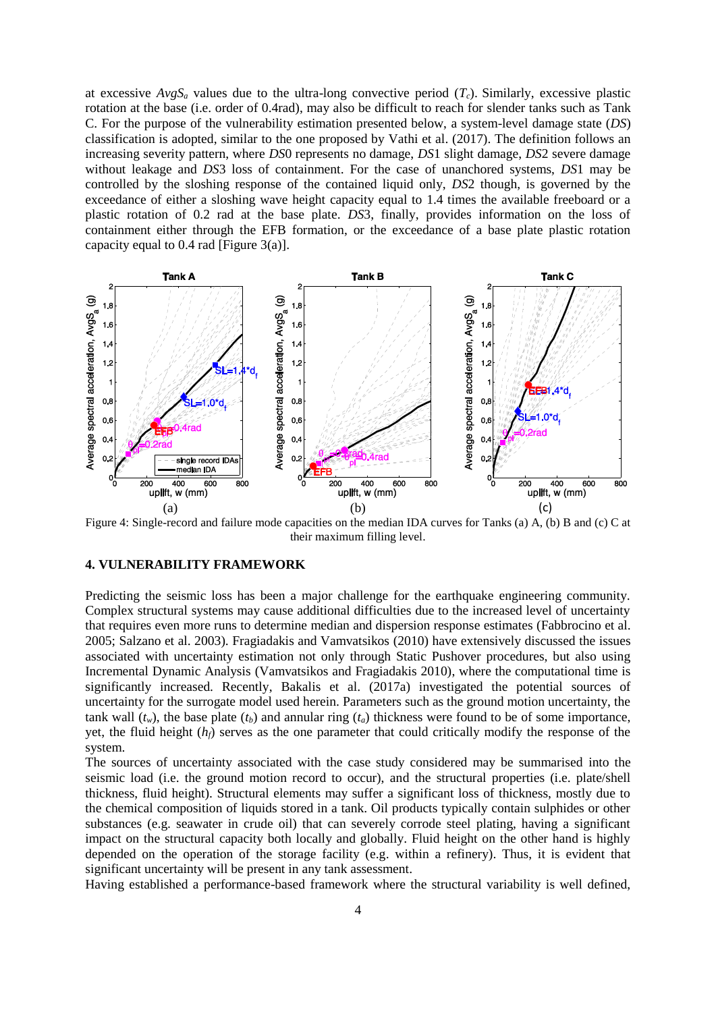at excessive  $AvgS_a$  values due to the ultra-long convective period  $(T_c)$ . Similarly, excessive plastic rotation at the base (i.e. order of 0.4rad), may also be difficult to reach for slender tanks such as Tank C. For the purpose of the vulnerability estimation presented below, a system-level damage state (*DS*) classification is adopted, similar to the one proposed by Vathi et al. (2017). The definition follows an increasing severity pattern, where *DS*0 represents no damage, *DS*1 slight damage, *DS*2 severe damage without leakage and *DS*3 loss of containment. For the case of unanchored systems, *DS*1 may be controlled by the sloshing response of the contained liquid only, *DS*2 though, is governed by the exceedance of either a sloshing wave height capacity equal to 1.4 times the available freeboard or a plastic rotation of 0.2 rad at the base plate. *DS*3, finally, provides information on the loss of containment either through the EFB formation, or the exceedance of a base plate plastic rotation capacity equal to 0.4 rad [\[Figure 3\(](#page-2-0)a)].



<span id="page-3-0"></span>Figure 4: Single-record and failure mode capacities on the median IDA curves for Tanks (a) A, (b) B and (c) C at their maximum filling level.

# **4. VULNERABILITY FRAMEWORK**

Predicting the seismic loss has been a major challenge for the earthquake engineering community. Complex structural systems may cause additional difficulties due to the increased level of uncertainty that requires even more runs to determine median and dispersion response estimates (Fabbrocino et al. 2005; Salzano et al. 2003). Fragiadakis and Vamvatsikos (2010) have extensively discussed the issues associated with uncertainty estimation not only through Static Pushover procedures, but also using Incremental Dynamic Analysis (Vamvatsikos and Fragiadakis 2010), where the computational time is significantly increased. Recently, Bakalis et al. (2017a) investigated the potential sources of uncertainty for the surrogate model used herein. Parameters such as the ground motion uncertainty, the tank wall  $(t_w)$ , the base plate  $(t_b)$  and annular ring  $(t_a)$  thickness were found to be of some importance, yet, the fluid height (*hf*) serves as the one parameter that could critically modify the response of the system.

The sources of uncertainty associated with the case study considered may be summarised into the seismic load (i.e. the ground motion record to occur), and the structural properties (i.e. plate/shell thickness, fluid height). Structural elements may suffer a significant loss of thickness, mostly due to the chemical composition of liquids stored in a tank. Oil products typically contain sulphides or other substances (e.g. seawater in crude oil) that can severely corrode steel plating, having a significant impact on the structural capacity both locally and globally. Fluid height on the other hand is highly depended on the operation of the storage facility (e.g. within a refinery). Thus, it is evident that significant uncertainty will be present in any tank assessment.

Having established a performance-based framework where the structural variability is well defined,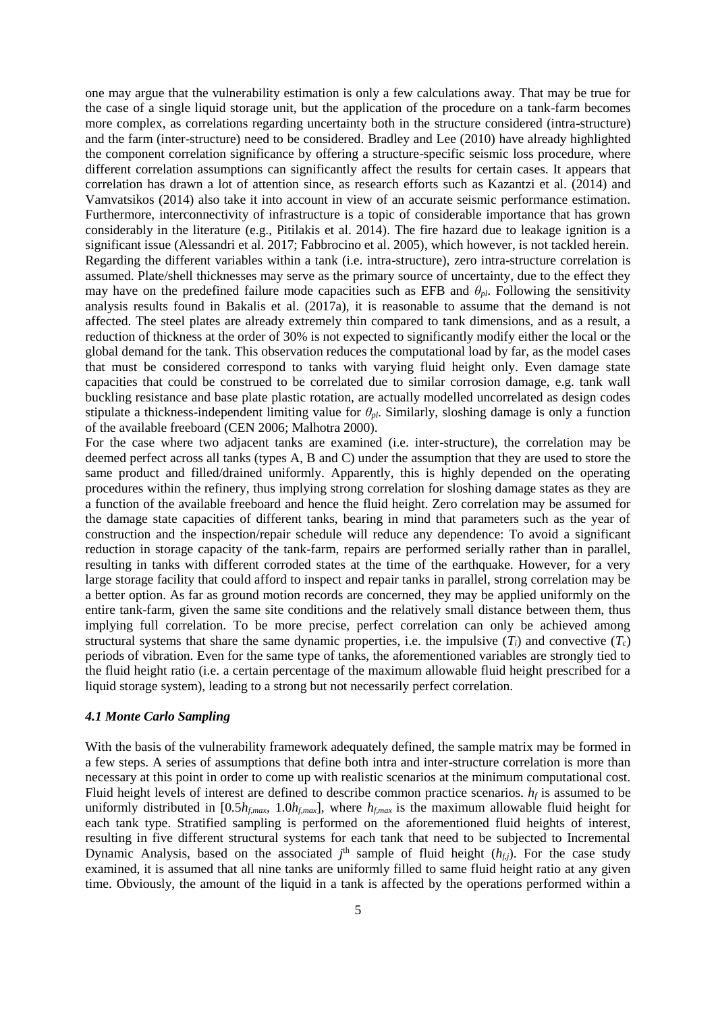one may argue that the vulnerability estimation is only a few calculations away. That may be true for the case of a single liquid storage unit, but the application of the procedure on a tank-farm becomes more complex, as correlations regarding uncertainty both in the structure considered (intra-structure) and the farm (inter-structure) need to be considered. Bradley and Lee (2010) have already highlighted the component correlation significance by offering a structure-specific seismic loss procedure, where different correlation assumptions can significantly affect the results for certain cases. It appears that correlation has drawn a lot of attention since, as research efforts such as Kazantzi et al. (2014) and Vamvatsikos (2014) also take it into account in view of an accurate seismic performance estimation. Furthermore, interconnectivity of infrastructure is a topic of considerable importance that has grown considerably in the literature (e.g., Pitilakis et al. 2014). The fire hazard due to leakage ignition is a significant issue (Alessandri et al. 2017; Fabbrocino et al. 2005), which however, is not tackled herein. Regarding the different variables within a tank (i.e. intra-structure), zero intra-structure correlation is assumed. Plate/shell thicknesses may serve as the primary source of uncertainty, due to the effect they may have on the predefined failure mode capacities such as EFB and  $\theta_{pl}$ . Following the sensitivity analysis results found in Bakalis et al. (2017a), it is reasonable to assume that the demand is not affected. The steel plates are already extremely thin compared to tank dimensions, and as a result, a reduction of thickness at the order of 30% is not expected to significantly modify either the local or the global demand for the tank. This observation reduces the computational load by far, as the model cases that must be considered correspond to tanks with varying fluid height only. Even damage state capacities that could be construed to be correlated due to similar corrosion damage, e.g. tank wall buckling resistance and base plate plastic rotation, are actually modelled uncorrelated as design codes stipulate a thickness-independent limiting value for  $\theta_{pl}$ . Similarly, sloshing damage is only a function of the available freeboard (CEN 2006; Malhotra 2000).

For the case where two adjacent tanks are examined (i.e. inter-structure), the correlation may be deemed perfect across all tanks (types A, B and C) under the assumption that they are used to store the same product and filled/drained uniformly. Apparently, this is highly depended on the operating procedures within the refinery, thus implying strong correlation for sloshing damage states as they are a function of the available freeboard and hence the fluid height. Zero correlation may be assumed for the damage state capacities of different tanks, bearing in mind that parameters such as the year of construction and the inspection/repair schedule will reduce any dependence: To avoid a significant reduction in storage capacity of the tank-farm, repairs are performed serially rather than in parallel, resulting in tanks with different corroded states at the time of the earthquake. However, for a very large storage facility that could afford to inspect and repair tanks in parallel, strong correlation may be a better option. As far as ground motion records are concerned, they may be applied uniformly on the entire tank-farm, given the same site conditions and the relatively small distance between them, thus implying full correlation. To be more precise, perfect correlation can only be achieved among structural systems that share the same dynamic properties, i.e. the impulsive  $(T_i)$  and convective  $(T_c)$ periods of vibration. Even for the same type of tanks, the aforementioned variables are strongly tied to the fluid height ratio (i.e. a certain percentage of the maximum allowable fluid height prescribed for a liquid storage system), leading to a strong but not necessarily perfect correlation.

## *4.1 Monte Carlo Sampling*

With the basis of the vulnerability framework adequately defined, the sample matrix may be formed in a few steps. A series of assumptions that define both intra and inter-structure correlation is more than necessary at this point in order to come up with realistic scenarios at the minimum computational cost. Fluid height levels of interest are defined to describe common practice scenarios.  $h_f$  is assumed to be uniformly distributed in  $[0.5h_{f,max}, 1.0h_{f,max}]$ , where  $h_{f,max}$  is the maximum allowable fluid height for each tank type. Stratified sampling is performed on the aforementioned fluid heights of interest, resulting in five different structural systems for each tank that need to be subjected to Incremental Dynamic Analysis, based on the associated  $j<sup>th</sup>$  sample of fluid height  $(h<sub>f,j</sub>)$ . For the case study examined, it is assumed that all nine tanks are uniformly filled to same fluid height ratio at any given time. Obviously, the amount of the liquid in a tank is affected by the operations performed within a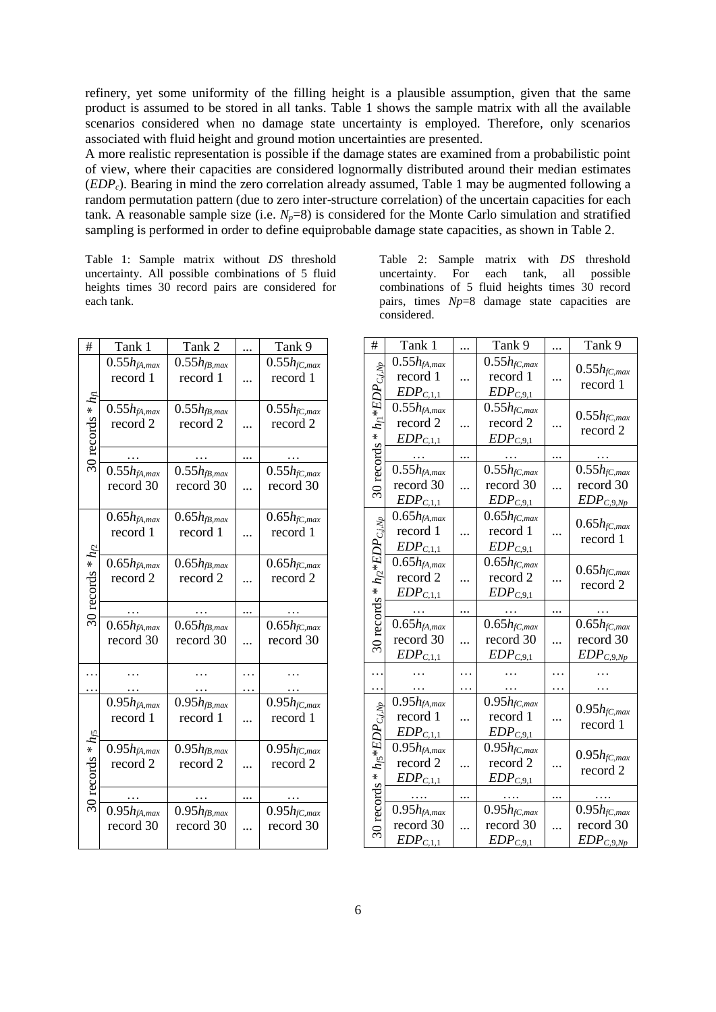refinery, yet some uniformity of the filling height is a plausible assumption, given that the same product is assumed to be stored in all tanks. [Table 1](#page-5-0) shows the sample matrix with all the available scenarios considered when no damage state uncertainty is employed. Therefore, only scenarios associated with fluid height and ground motion uncertainties are presented.

A more realistic representation is possible if the damage states are examined from a probabilistic point of view, where their capacities are considered lognormally distributed around their median estimates (*EDPc*). Bearing in mind the zero correlation already assumed, [Table 1](#page-5-0) may be augmented following a random permutation pattern (due to zero inter-structure correlation) of the uncertain capacities for each tank. A reasonable sample size (i.e.  $N_p=8$ ) is considered for the Monte Carlo simulation and stratified sampling is performed in order to define equiprobable damage state capacities, as shown in [Table 2.](#page-5-1)

<span id="page-5-0"></span>Table 1: Sample matrix without *DS* threshold uncertainty. All possible combinations of 5 fluid heights times 30 record pairs are considered for each tank.

| #                     | Tank 1                        | Tank 2                        |   | Tank 9                         |
|-----------------------|-------------------------------|-------------------------------|---|--------------------------------|
|                       | $0.55h_{fA,max}$              | $0.55h_{fB,max}$              |   | $0.55h_{fC, max}$              |
|                       | record 1                      | record 1                      |   | record 1                       |
|                       |                               |                               |   |                                |
| $^*h_1$               | $0.55h_{fA,max}$              | $0.55h_{fB,max}$              |   | $0.55h_{fC, max}$              |
|                       | record 2                      | record 2                      |   | record 2                       |
|                       |                               |                               |   |                                |
| 30 records            |                               |                               |   |                                |
|                       | $0.55h_{fA,max}$              | $0.55h_{fB,max}$              |   | $0.55h$ fC,max                 |
|                       | record 30                     | record 30                     |   | record 30                      |
|                       |                               |                               |   |                                |
| 30 records * $h_{/2}$ | $0.65h_{fA,max}$              | $0.65h_{fB,max}$              |   | $0.65h_{fC, max}$              |
|                       | record 1                      | record 1                      |   | record 1                       |
|                       |                               |                               |   |                                |
|                       | $0.65h_{fA,max}$              | $0.65h_{fB,max}$              |   | $0.65h$ fC, max                |
|                       | record 2                      | record 2                      |   | record 2                       |
|                       |                               |                               |   |                                |
|                       |                               |                               |   |                                |
|                       |                               |                               |   |                                |
|                       |                               |                               |   |                                |
|                       | $0.65h_{fA,max}$<br>record 30 | $0.65h_{fB,max}$<br>record 30 |   | $0.65h_{fC,max}$<br>record 30  |
|                       |                               |                               |   |                                |
|                       |                               |                               |   |                                |
|                       |                               |                               | . |                                |
|                       |                               |                               |   |                                |
|                       | $0.95h_{fA,max}$<br>record 1  | $0.95h_{fB,max}$<br>record 1  | . | $0.95h$ fC, max<br>record 1    |
|                       |                               |                               |   |                                |
|                       |                               |                               |   |                                |
|                       | $0.95h_{fA,max}$<br>record 2  | $0.95h_{fB,max}$<br>record 2  |   | $0.95h_{fC, max}$<br>record 2  |
|                       |                               |                               |   |                                |
|                       |                               |                               |   |                                |
| 30 records * $h_5$    |                               |                               |   |                                |
|                       | $0.95h_{fA,max}$              | $0.95h_{fB,max}$<br>record 30 |   | $0.95h_{fC, max}$<br>record 30 |
|                       | record 30                     |                               |   |                                |

<span id="page-5-1"></span>Table 2: Sample matrix with *DS* threshold uncertainty. For each tank, all possible combinations of 5 fluid heights times 30 record pairs, times *Np*=8 damage state capacities are considered.

| #                                                | Tank 1                         |   | Tank 9            |   | Tank 9                       |
|--------------------------------------------------|--------------------------------|---|-------------------|---|------------------------------|
| 30 records * $h_{\text{fl}}$ * $EDP_{C,i,N_p}$   | $0.55h_{fA,max}$               |   | $0.55h_{fC,max}$  |   | $0.55h$ fC, max<br>record 1  |
|                                                  | record 1                       |   | record 1          |   |                              |
|                                                  | $EDP_{C,1,1}$                  |   | $EDP_{C,9,1}$     |   |                              |
|                                                  | $0.55h_{fA,max}$               |   | $0.55h$ fC, max   |   |                              |
|                                                  | record 2                       |   | record 2          |   | $0.55h$ fC,max               |
|                                                  | $EDP_{C,1,1}$                  |   | $EDP_{C,9,1}$     |   | record 2                     |
|                                                  | $\cdots$                       |   | $\ldots$          |   | .                            |
|                                                  | $0.55h_{fA,max}$               |   | $0.55h_{fC,max}$  |   | $0.55h$ fC, max              |
|                                                  | record 30                      |   | record 30         |   | record 30                    |
|                                                  | $EDP_{C,1,1}$                  |   | $EDP_{C,9,1}$     |   | $EDP_{C,9,Np}$               |
| 30 records * $h_{\mathcal{L}}$ * $EDP_{C,i,Np}$  | $0.65h_{fA,max}$               |   | $0.65h$ fC,max    |   |                              |
|                                                  | record 1                       |   | record 1          |   | $0.65h$ fC,max               |
|                                                  | $EDP_{C,1,1}$                  |   | $EDP_{C,9,1}$     |   | record 1                     |
|                                                  | $0.65h_{fA,max}$               |   | $0.65h$ fC, max   |   |                              |
|                                                  | record 2                       |   | record 2          |   | $0.65h_{fC,max}$<br>record 2 |
|                                                  | $EDP_{C,1,1}$                  |   | $EDP_{C,9,1}$     |   |                              |
|                                                  |                                |   |                   |   |                              |
|                                                  | $0.65h_{fA,max}$               |   | $0.65h_{fC, max}$ |   | $0.65h_{fC, max}$            |
|                                                  | record 30                      |   | record 30         | . | record 30                    |
|                                                  | $EDP_{C,1,1}$                  |   | $EDP_{C,9,1}$     |   | $EDP_{C,9,Np}$               |
| .                                                |                                |   |                   |   |                              |
| .                                                |                                | . | .                 | . |                              |
| $*~h_{\mathcal{B}}*EDP_{C, j, Np}$<br>30 records | $0.95h_{fA,max}$               |   | $0.95h$ fC, max   |   | $0.95h$ fC, max              |
|                                                  | record 1                       | . | record 1          |   | record 1                     |
|                                                  | $EDP_{C,1,1}$                  |   | $EDP_{C,9,1}$     |   |                              |
|                                                  | $0.95h_{\text{fA},\text{max}}$ |   | $0.95h_{fC, max}$ |   | $0.95h_{fC,max}$             |
|                                                  | record 2                       |   | record 2          |   | record 2                     |
|                                                  | $EDP_{C,1,1}$                  |   | $EDP_{C,9,1}$     |   |                              |
|                                                  | $\ldots$                       |   | $\cdots$          |   | .                            |
|                                                  | $0.95h_{fA,max}$               |   | $0.95h$ fC, max   |   | $0.95h_{fC,max}$             |
|                                                  | record 30                      |   | record 30         |   | record 30                    |
|                                                  | $EDP_{C,1,1}$                  |   | $EDP_{C,9,1}$     |   | $EDP_{C,9,Np}$               |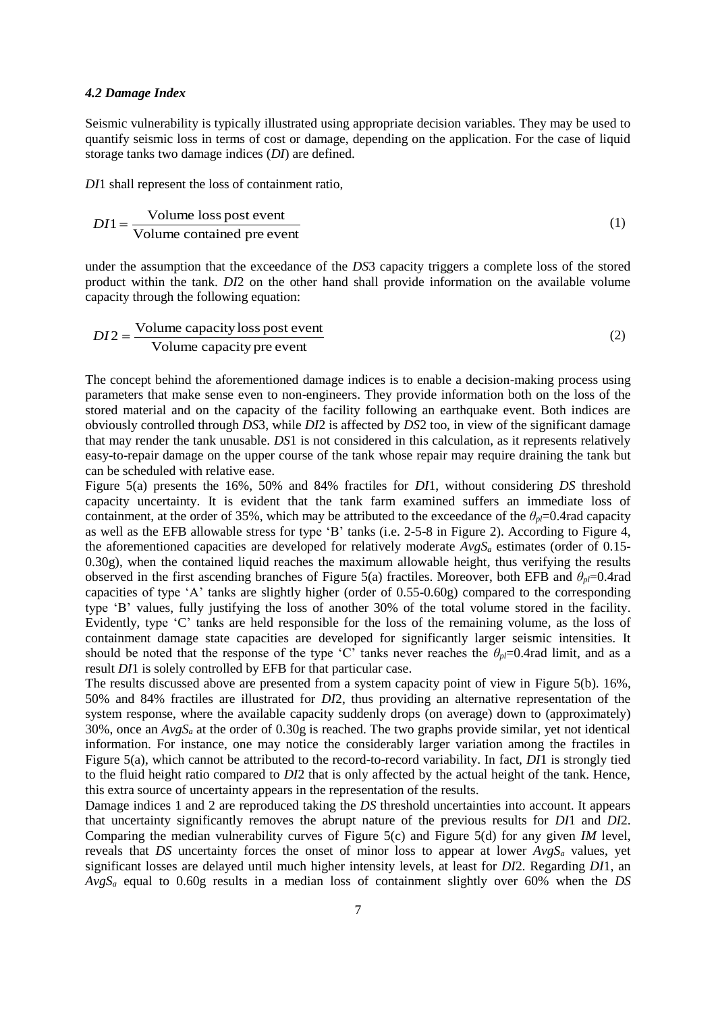#### *4.2 Damage Index*

Seismic vulnerability is typically illustrated using appropriate decision variables. They may be used to quantify seismic loss in terms of cost or damage, depending on the application. For the case of liquid storage tanks two damage indices (*DI*) are defined.

*DI*1 shall represent the loss of containment ratio,

$$
DI1 = \frac{\text{Volume loss post event}}{\text{Volume contained pre event}}
$$
 (1)

under the assumption that the exceedance of the *DS*3 capacity triggers a complete loss of the stored product within the tank. *DI*2 on the other hand shall provide information on the available volume capacity through the following equation:

$$
DI2 = \frac{\text{Volume capacity loss post event}}{\text{Volume capacity pre event}}
$$
 (2)

The concept behind the aforementioned damage indices is to enable a decision-making process using parameters that make sense even to non-engineers. They provide information both on the loss of the stored material and on the capacity of the facility following an earthquake event. Both indices are obviously controlled through *DS*3, while *DI*2 is affected by *DS*2 too, in view of the significant damage that may render the tank unusable. *DS*1 is not considered in this calculation, as it represents relatively easy-to-repair damage on the upper course of the tank whose repair may require draining the tank but can be scheduled with relative ease.

[Figure 5\(](#page-7-0)a) presents the 16%, 50% and 84% fractiles for *DI*1, without considering *DS* threshold capacity uncertainty. It is evident that the tank farm examined suffers an immediate loss of containment, at the order of 35%, which may be attributed to the exceedance of the  $\theta_{p}$ =0.4rad capacity as well as the EFB allowable stress for type 'B' tanks (i.e. 2-5-8 in [Figure 2\)](#page-1-1). According to [Figure 4,](#page-3-0) the aforementioned capacities are developed for relatively moderate *AvgS<sup>a</sup>* estimates (order of 0.15- 0.30g), when the contained liquid reaches the maximum allowable height, thus verifying the results observed in the first ascending branches of [Figure 5\(](#page-7-0)a) fractiles. Moreover, both EFB and  $\theta_p$ =0.4rad capacities of type 'A' tanks are slightly higher (order of 0.55-0.60g) compared to the corresponding type 'B' values, fully justifying the loss of another 30% of the total volume stored in the facility. Evidently, type 'C' tanks are held responsible for the loss of the remaining volume, as the loss of containment damage state capacities are developed for significantly larger seismic intensities. It should be noted that the response of the type 'C' tanks never reaches the  $\theta_{pl}=0.4$ rad limit, and as a result *DI*1 is solely controlled by EFB for that particular case.

The results discussed above are presented from a system capacity point of view in [Figure 5\(](#page-7-0)b). 16%, 50% and 84% fractiles are illustrated for *DI*2, thus providing an alternative representation of the system response, where the available capacity suddenly drops (on average) down to (approximately) 30%, once an *AvgS<sup>a</sup>* at the order of 0.30g is reached. The two graphs provide similar, yet not identical information. For instance, one may notice the considerably larger variation among the fractiles in [Figure 5\(](#page-7-0)a), which cannot be attributed to the record-to-record variability. In fact, *DI*1 is strongly tied to the fluid height ratio compared to *DI*2 that is only affected by the actual height of the tank. Hence, this extra source of uncertainty appears in the representation of the results.

Damage indices 1 and 2 are reproduced taking the *DS* threshold uncertainties into account. It appears that uncertainty significantly removes the abrupt nature of the previous results for *DI*1 and *DI*2. Comparing the median vulnerability curves of [Figure 5\(](#page-7-0)c) and [Figure 5\(](#page-7-0)d) for any given *IM* level, reveals that *DS* uncertainty forces the onset of minor loss to appear at lower  $AvgS<sub>a</sub>$  values, yet significant losses are delayed until much higher intensity levels, at least for *DI*2. Regarding *DI*1, an *AvgS<sup>a</sup>* equal to 0.60g results in a median loss of containment slightly over 60% when the *DS*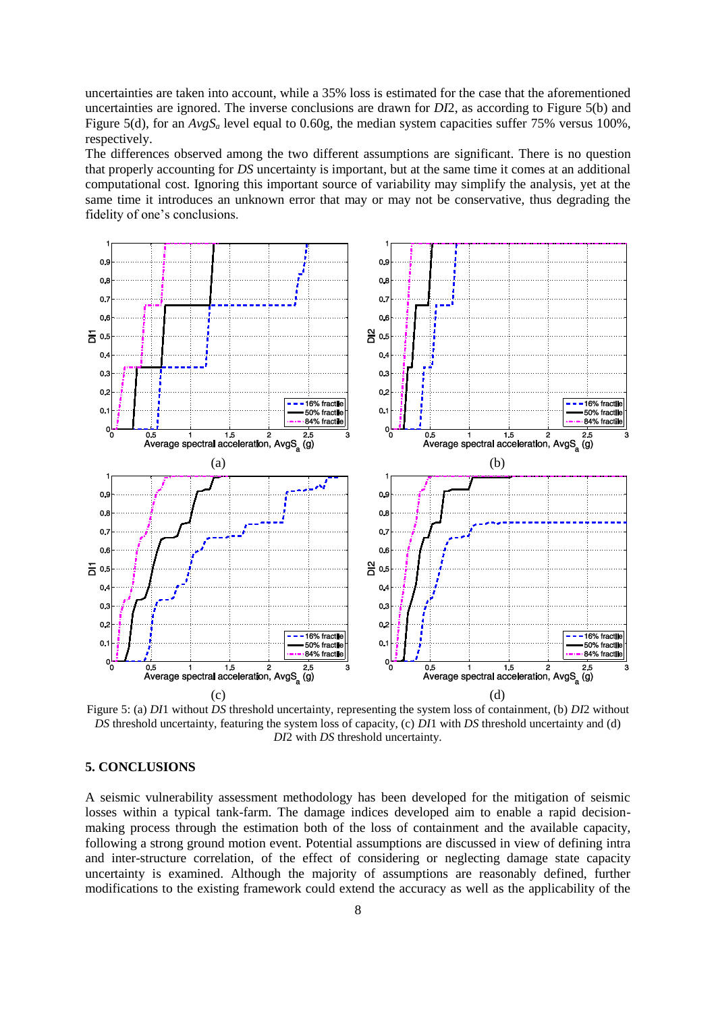uncertainties are taken into account, while a 35% loss is estimated for the case that the aforementioned uncertainties are ignored. The inverse conclusions are drawn for *DI*2, as according to [Figure 5\(](#page-7-0)b) and [Figure 5\(](#page-7-0)d), for an  $AvgS_a$  level equal to 0.60g, the median system capacities suffer 75% versus 100%, respectively.

The differences observed among the two different assumptions are significant. There is no question that properly accounting for *DS* uncertainty is important, but at the same time it comes at an additional computational cost. Ignoring this important source of variability may simplify the analysis, yet at the same time it introduces an unknown error that may or may not be conservative, thus degrading the fidelity of one's conclusions.



<span id="page-7-0"></span>Figure 5: (a) *DI*1 without *DS* threshold uncertainty, representing the system loss of containment, (b) *DI*2 without *DS* threshold uncertainty, featuring the system loss of capacity, (c) *DI*1 with *DS* threshold uncertainty and (d) *DI*2 with *DS* threshold uncertainty.

## **5. CONCLUSIONS**

A seismic vulnerability assessment methodology has been developed for the mitigation of seismic losses within a typical tank-farm. The damage indices developed aim to enable a rapid decisionmaking process through the estimation both of the loss of containment and the available capacity, following a strong ground motion event. Potential assumptions are discussed in view of defining intra and inter-structure correlation, of the effect of considering or neglecting damage state capacity uncertainty is examined. Although the majority of assumptions are reasonably defined, further modifications to the existing framework could extend the accuracy as well as the applicability of the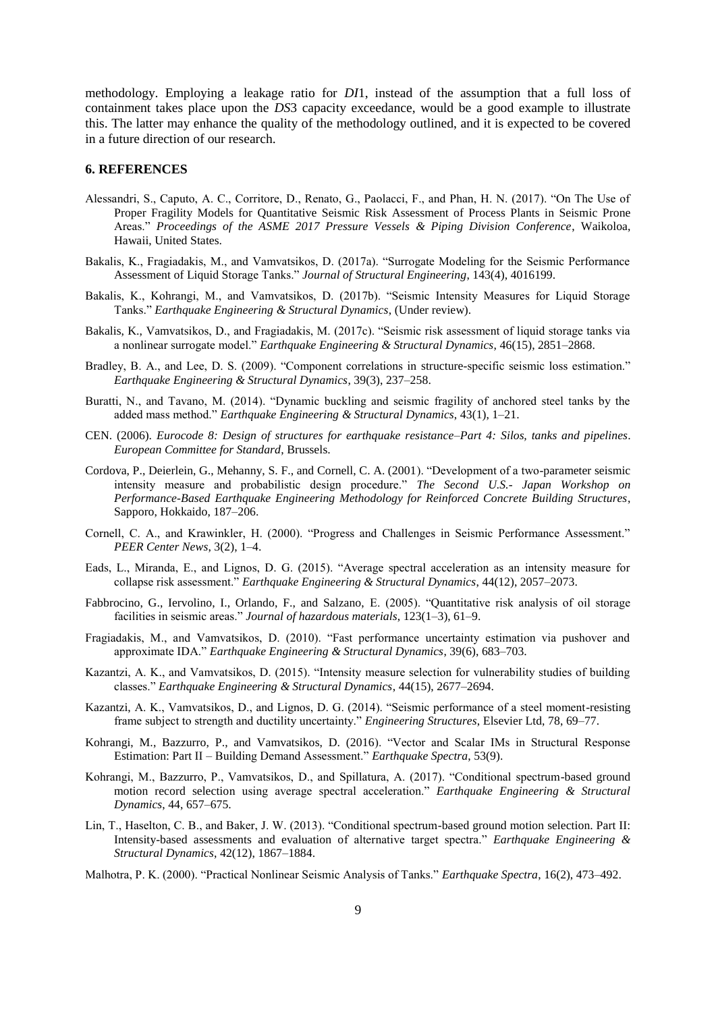methodology. Employing a leakage ratio for *DI*1, instead of the assumption that a full loss of containment takes place upon the *DS*3 capacity exceedance, would be a good example to illustrate this. The latter may enhance the quality of the methodology outlined, and it is expected to be covered in a future direction of our research.

#### **6. REFERENCES**

- Alessandri, S., Caputo, A. C., Corritore, D., Renato, G., Paolacci, F., and Phan, H. N. (2017). "On The Use of Proper Fragility Models for Quantitative Seismic Risk Assessment of Process Plants in Seismic Prone Areas." *Proceedings of the ASME 2017 Pressure Vessels & Piping Division Conference*, Waikoloa, Hawaii, United States.
- Bakalis, K., Fragiadakis, M., and Vamvatsikos, D. (2017a). "Surrogate Modeling for the Seismic Performance Assessment of Liquid Storage Tanks." *Journal of Structural Engineering*, 143(4), 4016199.
- Bakalis, K., Kohrangi, M., and Vamvatsikos, D. (2017b). "Seismic Intensity Measures for Liquid Storage Tanks." *Earthquake Engineering & Structural Dynamics*, (Under review).
- Bakalis, K., Vamvatsikos, D., and Fragiadakis, M. (2017c). "Seismic risk assessment of liquid storage tanks via a nonlinear surrogate model." *Earthquake Engineering & Structural Dynamics*, 46(15), 2851–2868.
- Bradley, B. A., and Lee, D. S. (2009). "Component correlations in structure-specific seismic loss estimation." *Earthquake Engineering & Structural Dynamics*, 39(3), 237–258.
- Buratti, N., and Tavano, M. (2014). "Dynamic buckling and seismic fragility of anchored steel tanks by the added mass method." *Earthquake Engineering & Structural Dynamics*, 43(1), 1–21.
- CEN. (2006). *Eurocode 8: Design of structures for earthquake resistance–Part 4: Silos, tanks and pipelines*. *European Committee for Standard*, Brussels.
- Cordova, P., Deierlein, G., Mehanny, S. F., and Cornell, C. A. (2001). "Development of a two-parameter seismic intensity measure and probabilistic design procedure." *The Second U.S.- Japan Workshop on Performance-Based Earthquake Engineering Methodology for Reinforced Concrete Building Structures*, Sapporo, Hokkaido, 187–206.
- Cornell, C. A., and Krawinkler, H. (2000). "Progress and Challenges in Seismic Performance Assessment." *PEER Center News*, 3(2), 1–4.
- Eads, L., Miranda, E., and Lignos, D. G. (2015). "Average spectral acceleration as an intensity measure for collapse risk assessment." *Earthquake Engineering & Structural Dynamics*, 44(12), 2057–2073.
- Fabbrocino, G., Iervolino, I., Orlando, F., and Salzano, E. (2005). "Quantitative risk analysis of oil storage facilities in seismic areas." *Journal of hazardous materials*, 123(1–3), 61–9.
- Fragiadakis, M., and Vamvatsikos, D. (2010). "Fast performance uncertainty estimation via pushover and approximate IDA." *Earthquake Engineering & Structural Dynamics*, 39(6), 683–703.
- Kazantzi, A. K., and Vamvatsikos, D. (2015). "Intensity measure selection for vulnerability studies of building classes." *Earthquake Engineering & Structural Dynamics*, 44(15), 2677–2694.
- Kazantzi, A. K., Vamvatsikos, D., and Lignos, D. G. (2014). "Seismic performance of a steel moment-resisting frame subject to strength and ductility uncertainty." *Engineering Structures*, Elsevier Ltd, 78, 69–77.
- Kohrangi, M., Bazzurro, P., and Vamvatsikos, D. (2016). "Vector and Scalar IMs in Structural Response Estimation: Part II – Building Demand Assessment." *Earthquake Spectra*, 53(9).
- Kohrangi, M., Bazzurro, P., Vamvatsikos, D., and Spillatura, A. (2017). "Conditional spectrum-based ground motion record selection using average spectral acceleration." *Earthquake Engineering & Structural Dynamics*, 44, 657–675.
- Lin, T., Haselton, C. B., and Baker, J. W. (2013). "Conditional spectrum-based ground motion selection. Part II: Intensity-based assessments and evaluation of alternative target spectra." *Earthquake Engineering & Structural Dynamics*, 42(12), 1867–1884.
- Malhotra, P. K. (2000). "Practical Nonlinear Seismic Analysis of Tanks." *Earthquake Spectra*, 16(2), 473–492.